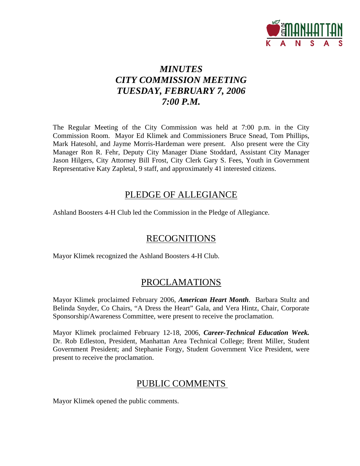

# *MINUTES CITY COMMISSION MEETING TUESDAY, FEBRUARY 7, 2006 7:00 P.M.*

The Regular Meeting of the City Commission was held at 7:00 p.m. in the City Commission Room. Mayor Ed Klimek and Commissioners Bruce Snead, Tom Phillips, Mark Hatesohl, and Jayme Morris-Hardeman were present. Also present were the City Manager Ron R. Fehr, Deputy City Manager Diane Stoddard, Assistant City Manager Jason Hilgers, City Attorney Bill Frost, City Clerk Gary S. Fees, Youth in Government Representative Katy Zapletal, 9 staff, and approximately 41 interested citizens.

## PLEDGE OF ALLEGIANCE

Ashland Boosters 4-H Club led the Commission in the Pledge of Allegiance.

## RECOGNITIONS

Mayor Klimek recognized the Ashland Boosters 4-H Club.

## PROCLAMATIONS

Mayor Klimek proclaimed February 2006, *American Heart Month*. Barbara Stultz and Belinda Snyder, Co Chairs, "A Dress the Heart" Gala, and Vera Hintz, Chair, Corporate Sponsorship/Awareness Committee, were present to receive the proclamation.

Mayor Klimek proclaimed February 12-18, 2006, *Career-Technical Education Week.*  Dr. Rob Edleston, President, Manhattan Area Technical College; Brent Miller, Student Government President; and Stephanie Forgy, Student Government Vice President, were present to receive the proclamation.

### PUBLIC COMMENTS

Mayor Klimek opened the public comments.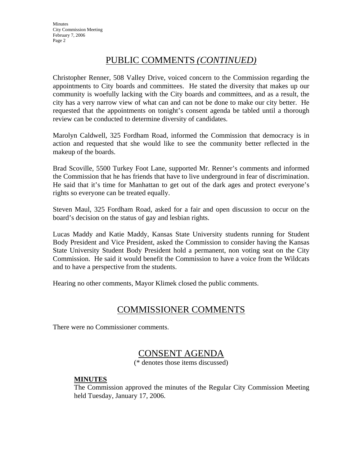## PUBLIC COMMENTS *(CONTINUED)*

Christopher Renner, 508 Valley Drive, voiced concern to the Commission regarding the appointments to City boards and committees. He stated the diversity that makes up our community is woefully lacking with the City boards and committees, and as a result, the city has a very narrow view of what can and can not be done to make our city better. He requested that the appointments on tonight's consent agenda be tabled until a thorough review can be conducted to determine diversity of candidates.

Marolyn Caldwell, 325 Fordham Road, informed the Commission that democracy is in action and requested that she would like to see the community better reflected in the makeup of the boards.

Brad Scoville, 5500 Turkey Foot Lane, supported Mr. Renner's comments and informed the Commission that he has friends that have to live underground in fear of discrimination. He said that it's time for Manhattan to get out of the dark ages and protect everyone's rights so everyone can be treated equally.

Steven Maul, 325 Fordham Road, asked for a fair and open discussion to occur on the board's decision on the status of gay and lesbian rights.

Lucas Maddy and Katie Maddy, Kansas State University students running for Student Body President and Vice President, asked the Commission to consider having the Kansas State University Student Body President hold a permanent, non voting seat on the City Commission. He said it would benefit the Commission to have a voice from the Wildcats and to have a perspective from the students.

Hearing no other comments, Mayor Klimek closed the public comments.

### COMMISSIONER COMMENTS

There were no Commissioner comments.

### CONSENT AGENDA

(\* denotes those items discussed)

#### **MINUTES**

The Commission approved the minutes of the Regular City Commission Meeting held Tuesday, January 17, 2006.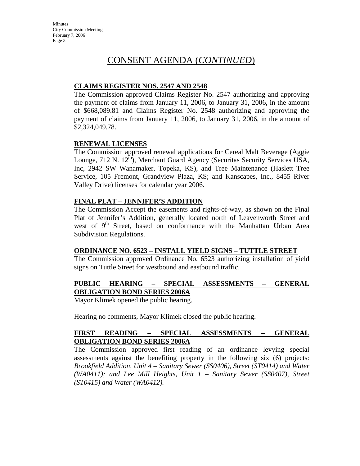## CONSENT AGENDA (*CONTINUED*)

#### **CLAIMS REGISTER NOS. 2547 AND 2548**

The Commission approved Claims Register No. 2547 authorizing and approving the payment of claims from January 11, 2006, to January 31, 2006, in the amount of \$668,089.81 and Claims Register No. 2548 authorizing and approving the payment of claims from January 11, 2006, to January 31, 2006, in the amount of \$2,324,049.78.

#### **RENEWAL LICENSES**

The Commission approved renewal applications for Cereal Malt Beverage (Aggie Lounge, 712 N. 12<sup>th</sup>), Merchant Guard Agency (Securitas Security Services USA, Inc, 2942 SW Wanamaker, Topeka, KS), and Tree Maintenance (Haslett Tree Service, 105 Fremont, Grandview Plaza, KS; and Kanscapes, Inc., 8455 River Valley Drive) licenses for calendar year 2006.

#### **FINAL PLAT – JENNIFER'S ADDITION**

The Commission Accept the easements and rights-of-way, as shown on the Final Plat of Jennifer's Addition, generally located north of Leavenworth Street and west of 9<sup>th</sup> Street, based on conformance with the Manhattan Urban Area Subdivision Regulations.

#### **ORDINANCE NO. 6523 – INSTALL YIELD SIGNS – TUTTLE STREET**

The Commission approved Ordinance No. 6523 authorizing installation of yield signs on Tuttle Street for westbound and eastbound traffic.

#### **PUBLIC HEARING – SPECIAL ASSESSMENTS – GENERAL OBLIGATION BOND SERIES 2006A**

Mayor Klimek opened the public hearing.

Hearing no comments, Mayor Klimek closed the public hearing.

#### **FIRST READING – SPECIAL ASSESSMENTS – GENERAL OBLIGATION BOND SERIES 2006A**

The Commission approved first reading of an ordinance levying special assessments against the benefiting property in the following six (6) projects: *Brookfield Addition, Unit 4 – Sanitary Sewer (SS0406), Street (ST0414) and Water (WA0411); and Lee Mill Heights, Unit 1 – Sanitary Sewer (SS0407), Street (ST0415) and Water (WA0412).*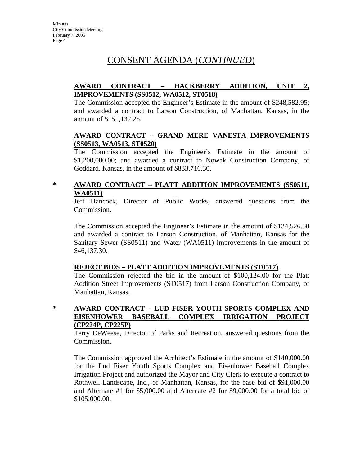## CONSENT AGENDA (*CONTINUED*)

#### **AWARD CONTRACT – HACKBERRY ADDITION, UNIT 2, IMPROVEMENTS (SS0512, WA0512, ST0518)**

The Commission accepted the Engineer's Estimate in the amount of \$248,582.95; and awarded a contract to Larson Construction, of Manhattan, Kansas, in the amount of \$151,132.25.

#### **AWARD CONTRACT – GRAND MERE VANESTA IMPROVEMENTS (SS0513, WA0513, ST0520)**

The Commission accepted the Engineer's Estimate in the amount of \$1,200,000.00; and awarded a contract to Nowak Construction Company, of Goddard, Kansas, in the amount of \$833,716.30.

### **\* AWARD CONTRACT – PLATT ADDITION IMPROVEMENTS (SS0511, WA0511)**

Jeff Hancock, Director of Public Works, answered questions from the Commission.

The Commission accepted the Engineer's Estimate in the amount of \$134,526.50 and awarded a contract to Larson Construction, of Manhattan, Kansas for the Sanitary Sewer (SS0511) and Water (WA0511) improvements in the amount of \$46,137.30.

#### **REJECT BIDS – PLATT ADDITION IMPROVEMENTS (ST0517)**

The Commission rejected the bid in the amount of \$100,124.00 for the Platt Addition Street Improvements (ST0517) from Larson Construction Company, of Manhattan, Kansas.

**\* AWARD CONTRACT – LUD FISER YOUTH SPORTS COMPLEX AND EISENHOWER BASEBALL COMPLEX IRRIGATION PROJECT** 

## **(CP224P, CP225P)**

Terry DeWeese, Director of Parks and Recreation, answered questions from the Commission.

The Commission approved the Architect's Estimate in the amount of \$140,000.00 for the Lud Fiser Youth Sports Complex and Eisenhower Baseball Complex Irrigation Project and authorized the Mayor and City Clerk to execute a contract to Rothwell Landscape, Inc., of Manhattan, Kansas, for the base bid of \$91,000.00 and Alternate #1 for \$5,000.00 and Alternate #2 for \$9,000.00 for a total bid of \$105,000.00.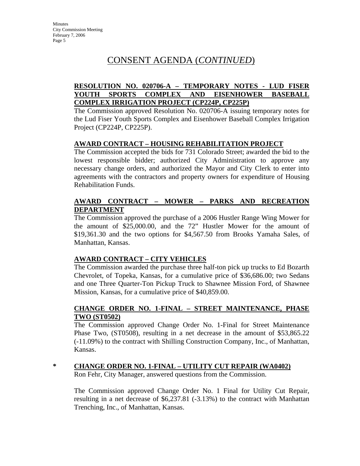# CONSENT AGENDA (*CONTINUED*)

#### **RESOLUTION NO. 020706-A – TEMPORARY NOTES - LUD FISER YOUTH SPORTS COMPLEX AND EISENHOWER BASEBALL COMPLEX IRRIGATION PROJECT (CP224P, CP225P)**

The Commission approved Resolution No. 020706-A issuing temporary notes for the Lud Fiser Youth Sports Complex and Eisenhower Baseball Complex Irrigation Project (CP224P, CP225P).

#### **AWARD CONTRACT – HOUSING REHABILITATION PROJECT**

The Commission accepted the bids for 731 Colorado Street; awarded the bid to the lowest responsible bidder; authorized City Administration to approve any necessary change orders, and authorized the Mayor and City Clerk to enter into agreements with the contractors and property owners for expenditure of Housing Rehabilitation Funds.

#### **AWARD CONTRACT – MOWER – PARKS AND RECREATION DEPARTMENT**

The Commission approved the purchase of a 2006 Hustler Range Wing Mower for the amount of \$25,000.00, and the 72" Hustler Mower for the amount of \$19,361.30 and the two options for \$4,567.50 from Brooks Yamaha Sales, of Manhattan, Kansas.

#### **AWARD CONTRACT – CITY VEHICLES**

The Commission awarded the purchase three half-ton pick up trucks to Ed Bozarth Chevrolet, of Topeka, Kansas, for a cumulative price of \$36,686.00; two Sedans and one Three Quarter-Ton Pickup Truck to Shawnee Mission Ford, of Shawnee Mission, Kansas, for a cumulative price of \$40,859.00.

#### **CHANGE ORDER NO. 1-FINAL – STREET MAINTENANCE, PHASE TWO (ST0502)**

The Commission approved Change Order No. 1-Final for Street Maintenance Phase Two, (ST0508), resulting in a net decrease in the amount of \$53,865.22 (-11.09%) to the contract with Shilling Construction Company, Inc., of Manhattan, Kansas.

### **\* CHANGE ORDER NO. 1-FINAL – UTILITY CUT REPAIR (WA0402)**

Ron Fehr, City Manager, answered questions from the Commission.

The Commission approved Change Order No. 1 Final for Utility Cut Repair, resulting in a net decrease of \$6,237.81 (-3.13%) to the contract with Manhattan Trenching, Inc., of Manhattan, Kansas.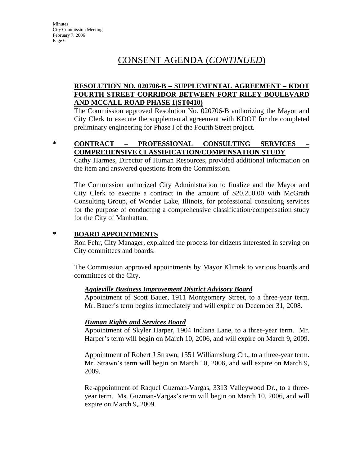## CONSENT AGENDA (*CONTINUED*)

#### **RESOLUTION NO. 020706-B – SUPPLEMENTAL AGREEMENT – KDOT FOURTH STREET CORRIDOR BETWEEN FORT RILEY BOULEVARD AND MCCALL ROAD PHASE 1(ST0410)**

The Commission approved Resolution No. 020706-B authorizing the Mayor and City Clerk to execute the supplemental agreement with KDOT for the completed preliminary engineering for Phase I of the Fourth Street project.

#### **\* CONTRACT – PROFESSIONAL CONSULTING SERVICES – COMPREHENSIVE CLASSIFICATION/COMPENSATION STUDY**

Cathy Harmes, Director of Human Resources, provided additional information on the item and answered questions from the Commission.

The Commission authorized City Administration to finalize and the Mayor and City Clerk to execute a contract in the amount of \$20,250.00 with McGrath Consulting Group, of Wonder Lake, Illinois, for professional consulting services for the purpose of conducting a comprehensive classification/compensation study for the City of Manhattan.

#### **\* BOARD APPOINTMENTS**

Ron Fehr, City Manager, explained the process for citizens interested in serving on City committees and boards.

The Commission approved appointments by Mayor Klimek to various boards and committees of the City.

#### *Aggieville Business Improvement District Advisory Board*

Appointment of Scott Bauer, 1911 Montgomery Street, to a three-year term. Mr. Bauer's term begins immediately and will expire on December 31, 2008.

#### *Human Rights and Services Board*

Appointment of Skyler Harper, 1904 Indiana Lane, to a three-year term. Mr. Harper's term will begin on March 10, 2006, and will expire on March 9, 2009.

Appointment of Robert J Strawn, 1551 Williamsburg Crt., to a three-year term. Mr. Strawn's term will begin on March 10, 2006, and will expire on March 9, 2009.

Re-appointment of Raquel Guzman-Vargas, 3313 Valleywood Dr., to a threeyear term. Ms. Guzman-Vargas's term will begin on March 10, 2006, and will expire on March 9, 2009.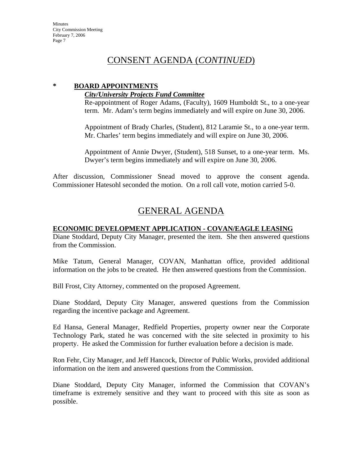## CONSENT AGENDA (*CONTINUED*)

### **\* BOARD APPOINTMENTS**

#### *City/University Projects Fund Committee*

Re-appointment of Roger Adams, (Faculty), 1609 Humboldt St., to a one-year term. Mr. Adam's term begins immediately and will expire on June 30, 2006.

Appointment of Brady Charles, (Student), 812 Laramie St., to a one-year term. Mr. Charles' term begins immediately and will expire on June 30, 2006.

Appointment of Annie Dwyer, (Student), 518 Sunset, to a one-year term. Ms. Dwyer's term begins immediately and will expire on June 30, 2006.

After discussion, Commissioner Snead moved to approve the consent agenda. Commissioner Hatesohl seconded the motion. On a roll call vote, motion carried 5-0.

# GENERAL AGENDA

#### **ECONOMIC DEVELOPMENT APPLICATION - COVAN/EAGLE LEASING**

Diane Stoddard, Deputy City Manager, presented the item. She then answered questions from the Commission.

Mike Tatum, General Manager, COVAN, Manhattan office, provided additional information on the jobs to be created. He then answered questions from the Commission.

Bill Frost, City Attorney, commented on the proposed Agreement.

Diane Stoddard, Deputy City Manager, answered questions from the Commission regarding the incentive package and Agreement.

Ed Hansa, General Manager, Redfield Properties, property owner near the Corporate Technology Park, stated he was concerned with the site selected in proximity to his property. He asked the Commission for further evaluation before a decision is made.

Ron Fehr, City Manager, and Jeff Hancock, Director of Public Works, provided additional information on the item and answered questions from the Commission.

Diane Stoddard, Deputy City Manager, informed the Commission that COVAN's timeframe is extremely sensitive and they want to proceed with this site as soon as possible.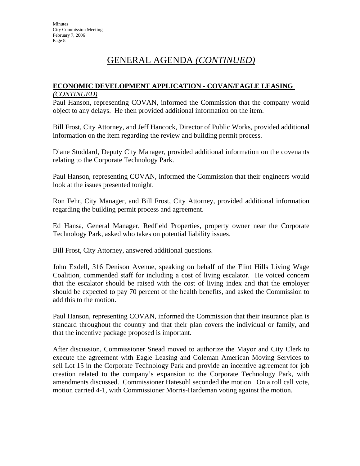# GENERAL AGENDA *(CONTINUED)*

#### **ECONOMIC DEVELOPMENT APPLICATION - COVAN/EAGLE LEASING**  *(CONTINUED)*

Paul Hanson, representing COVAN, informed the Commission that the company would object to any delays. He then provided additional information on the item.

Bill Frost, City Attorney, and Jeff Hancock, Director of Public Works, provided additional information on the item regarding the review and building permit process.

Diane Stoddard, Deputy City Manager, provided additional information on the covenants relating to the Corporate Technology Park.

Paul Hanson, representing COVAN, informed the Commission that their engineers would look at the issues presented tonight.

Ron Fehr, City Manager, and Bill Frost, City Attorney, provided additional information regarding the building permit process and agreement.

Ed Hansa, General Manager, Redfield Properties, property owner near the Corporate Technology Park, asked who takes on potential liability issues.

Bill Frost, City Attorney, answered additional questions.

John Exdell, 316 Denison Avenue, speaking on behalf of the Flint Hills Living Wage Coalition, commended staff for including a cost of living escalator. He voiced concern that the escalator should be raised with the cost of living index and that the employer should be expected to pay 70 percent of the health benefits, and asked the Commission to add this to the motion.

Paul Hanson, representing COVAN, informed the Commission that their insurance plan is standard throughout the country and that their plan covers the individual or family, and that the incentive package proposed is important.

After discussion, Commissioner Snead moved to authorize the Mayor and City Clerk to execute the agreement with Eagle Leasing and Coleman American Moving Services to sell Lot 15 in the Corporate Technology Park and provide an incentive agreement for job creation related to the company's expansion to the Corporate Technology Park, with amendments discussed. Commissioner Hatesohl seconded the motion. On a roll call vote, motion carried 4-1, with Commissioner Morris-Hardeman voting against the motion.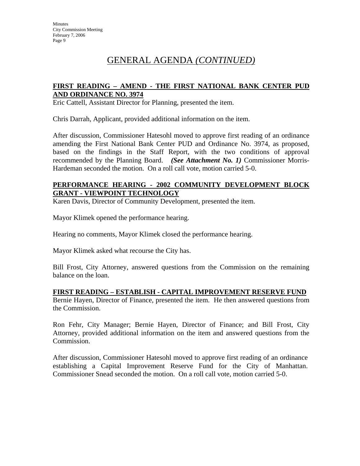# GENERAL AGENDA *(CONTINUED)*

#### **FIRST READING – AMEND - THE FIRST NATIONAL BANK CENTER PUD AND ORDINANCE NO. 3974**

Eric Cattell, Assistant Director for Planning, presented the item.

Chris Darrah, Applicant, provided additional information on the item.

After discussion, Commissioner Hatesohl moved to approve first reading of an ordinance amending the First National Bank Center PUD and Ordinance No. 3974, as proposed, based on the findings in the Staff Report, with the two conditions of approval recommended by the Planning Board. *(See Attachment No. 1)* Commissioner Morris-Hardeman seconded the motion. On a roll call vote, motion carried 5-0.

#### **PERFORMANCE HEARING - 2002 COMMUNITY DEVELOPMENT BLOCK GRANT - VIEWPOINT TECHNOLOGY**

Karen Davis, Director of Community Development, presented the item.

Mayor Klimek opened the performance hearing.

Hearing no comments, Mayor Klimek closed the performance hearing.

Mayor Klimek asked what recourse the City has.

Bill Frost, City Attorney, answered questions from the Commission on the remaining balance on the loan.

#### **FIRST READING – ESTABLISH - CAPITAL IMPROVEMENT RESERVE FUND**

Bernie Hayen, Director of Finance, presented the item. He then answered questions from the Commission.

Ron Fehr, City Manager; Bernie Hayen, Director of Finance; and Bill Frost, City Attorney, provided additional information on the item and answered questions from the Commission.

After discussion, Commissioner Hatesohl moved to approve first reading of an ordinance establishing a Capital Improvement Reserve Fund for the City of Manhattan. Commissioner Snead seconded the motion. On a roll call vote, motion carried 5-0.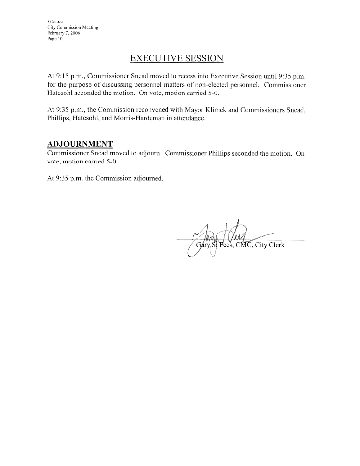## **EXECUTIVE SESSION**

At 9:15 p.m., Commissioner Snead moved to recess into Executive Session until 9:35 p.m. for the purpose of discussing personnel matters of non-elected personnel. Commissioner Hatesohl seconded the motion. On vote, motion carried 5-0.

At 9:35 p.m., the Commission reconvened with Mayor Klimek and Commissioners Snead, Phillips, Hatesohl, and Morris-Hardeman in attendance.

### **ADJOURNMENT**

Commissioner Snead moved to adjourn. Commissioner Phillips seconded the motion. On vote, motion carried 5-0.

At 9:35 p.m. the Commission adjourned.

Yees, CMC, City Clerk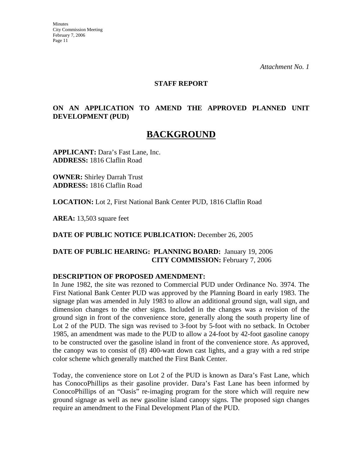*Attachment No. 1* 

#### **STAFF REPORT**

#### **ON AN APPLICATION TO AMEND THE APPROVED PLANNED UNIT DEVELOPMENT (PUD)**

# **BACKGROUND**

**APPLICANT:** Dara's Fast Lane, Inc. **ADDRESS:** 1816 Claflin Road

**OWNER:** Shirley Darrah Trust **ADDRESS:** 1816 Claflin Road

**LOCATION:** Lot 2, First National Bank Center PUD, 1816 Claflin Road

**AREA:** 13,503 square feet

**DATE OF PUBLIC NOTICE PUBLICATION:** December 26, 2005

**DATE OF PUBLIC HEARING: PLANNING BOARD:** January 19, 2006 **CITY COMMISSION:** February 7, 2006

#### **DESCRIPTION OF PROPOSED AMENDMENT:**

In June 1982, the site was rezoned to Commercial PUD under Ordinance No. 3974. The First National Bank Center PUD was approved by the Planning Board in early 1983. The signage plan was amended in July 1983 to allow an additional ground sign, wall sign, and dimension changes to the other signs. Included in the changes was a revision of the ground sign in front of the convenience store, generally along the south property line of Lot 2 of the PUD. The sign was revised to 3-foot by 5-foot with no setback. In October 1985, an amendment was made to the PUD to allow a 24-foot by 42-foot gasoline canopy to be constructed over the gasoline island in front of the convenience store. As approved, the canopy was to consist of (8) 400-watt down cast lights, and a gray with a red stripe color scheme which generally matched the First Bank Center.

Today, the convenience store on Lot 2 of the PUD is known as Dara's Fast Lane, which has ConocoPhillips as their gasoline provider. Dara's Fast Lane has been informed by ConocoPhillips of an "Oasis" re-imaging program for the store which will require new ground signage as well as new gasoline island canopy signs. The proposed sign changes require an amendment to the Final Development Plan of the PUD.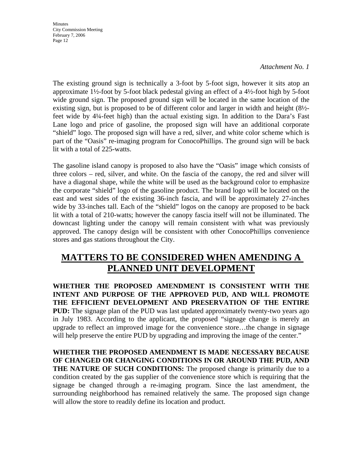#### *Attachment No. 1*

The existing ground sign is technically a 3-foot by 5-foot sign, however it sits atop an approximate 1½-foot by 5-foot black pedestal giving an effect of a 4½-foot high by 5-foot wide ground sign. The proposed ground sign will be located in the same location of the existing sign, but is proposed to be of different color and larger in width and height (8½ feet wide by 4¼-feet high) than the actual existing sign. In addition to the Dara's Fast Lane logo and price of gasoline, the proposed sign will have an additional corporate "shield" logo. The proposed sign will have a red, silver, and white color scheme which is part of the "Oasis" re-imaging program for ConocoPhillips. The ground sign will be back lit with a total of 225-watts.

The gasoline island canopy is proposed to also have the "Oasis" image which consists of three colors – red, silver, and white. On the fascia of the canopy, the red and silver will have a diagonal shape, while the white will be used as the background color to emphasize the corporate "shield" logo of the gasoline product. The brand logo will be located on the east and west sides of the existing 36-inch fascia, and will be approximately 27-inches wide by 33-inches tall. Each of the "shield" logos on the canopy are proposed to be back lit with a total of 210-watts; however the canopy fascia itself will not be illuminated. The downcast lighting under the canopy will remain consistent with what was previously approved. The canopy design will be consistent with other ConocoPhillips convenience stores and gas stations throughout the City.

# **MATTERS TO BE CONSIDERED WHEN AMENDING A PLANNED UNIT DEVELOPMENT**

**WHETHER THE PROPOSED AMENDMENT IS CONSISTENT WITH THE INTENT AND PURPOSE OF THE APPROVED PUD, AND WILL PROMOTE THE EFFICIENT DEVELOPMENT AND PRESERVATION OF THE ENTIRE PUD:** The signage plan of the PUD was last updated approximately twenty-two years ago in July 1983. According to the applicant, the proposed "signage change is merely an upgrade to reflect an improved image for the convenience store…the change in signage will help preserve the entire PUD by upgrading and improving the image of the center."

**WHETHER THE PROPOSED AMENDMENT IS MADE NECESSARY BECAUSE OF CHANGED OR CHANGING CONDITIONS IN OR AROUND THE PUD, AND THE NATURE OF SUCH CONDITIONS:** The proposed change is primarily due to a condition created by the gas supplier of the convenience store which is requiring that the signage be changed through a re-imaging program. Since the last amendment, the surrounding neighborhood has remained relatively the same. The proposed sign change will allow the store to readily define its location and product.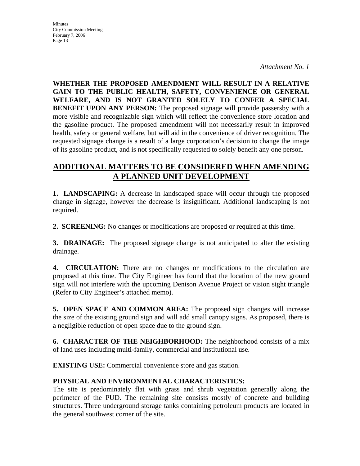*Attachment No. 1* 

**WHETHER THE PROPOSED AMENDMENT WILL RESULT IN A RELATIVE GAIN TO THE PUBLIC HEALTH, SAFETY, CONVENIENCE OR GENERAL WELFARE, AND IS NOT GRANTED SOLELY TO CONFER A SPECIAL BENEFIT UPON ANY PERSON:** The proposed signage will provide passersby with a more visible and recognizable sign which will reflect the convenience store location and the gasoline product. The proposed amendment will not necessarily result in improved health, safety or general welfare, but will aid in the convenience of driver recognition. The requested signage change is a result of a large corporation's decision to change the image of its gasoline product, and is not specifically requested to solely benefit any one person.

### **ADDITIONAL MATTERS TO BE CONSIDERED WHEN AMENDING A PLANNED UNIT DEVELOPMENT**

**1. LANDSCAPING:** A decrease in landscaped space will occur through the proposed change in signage, however the decrease is insignificant. Additional landscaping is not required.

**2. SCREENING:** No changes or modifications are proposed or required at this time.

**3. DRAINAGE:** The proposed signage change is not anticipated to alter the existing drainage.

**4. CIRCULATION:** There are no changes or modifications to the circulation are proposed at this time. The City Engineer has found that the location of the new ground sign will not interfere with the upcoming Denison Avenue Project or vision sight triangle (Refer to City Engineer's attached memo).

**5. OPEN SPACE AND COMMON AREA:** The proposed sign changes will increase the size of the existing ground sign and will add small canopy signs. As proposed, there is a negligible reduction of open space due to the ground sign.

**6. CHARACTER OF THE NEIGHBORHOOD:** The neighborhood consists of a mix of land uses including multi-family, commercial and institutional use.

**EXISTING USE:** Commercial convenience store and gas station.

### **PHYSICAL AND ENVIRONMENTAL CHARACTERISTICS:**

The site is predominately flat with grass and shrub vegetation generally along the perimeter of the PUD. The remaining site consists mostly of concrete and building structures. Three underground storage tanks containing petroleum products are located in the general southwest corner of the site.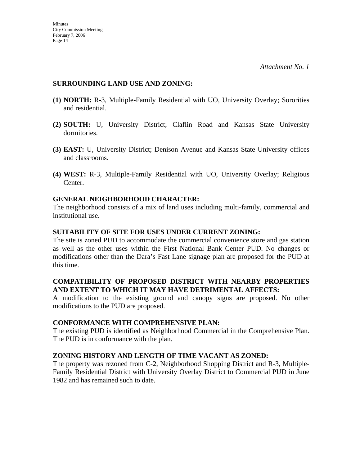#### **SURROUNDING LAND USE AND ZONING:**

- **(1) NORTH:** R-3, Multiple-Family Residential with UO, University Overlay; Sororities and residential.
- **(2) SOUTH:** U, University District; Claflin Road and Kansas State University dormitories.
- **(3) EAST:** U, University District; Denison Avenue and Kansas State University offices and classrooms.
- **(4) WEST:** R-3, Multiple-Family Residential with UO, University Overlay; Religious Center.

#### **GENERAL NEIGHBORHOOD CHARACTER:**

The neighborhood consists of a mix of land uses including multi-family, commercial and institutional use.

#### **SUITABILITY OF SITE FOR USES UNDER CURRENT ZONING:**

The site is zoned PUD to accommodate the commercial convenience store and gas station as well as the other uses within the First National Bank Center PUD. No changes or modifications other than the Dara's Fast Lane signage plan are proposed for the PUD at this time.

#### **COMPATIBILITY OF PROPOSED DISTRICT WITH NEARBY PROPERTIES AND EXTENT TO WHICH IT MAY HAVE DETRIMENTAL AFFECTS:**

A modification to the existing ground and canopy signs are proposed. No other modifications to the PUD are proposed.

#### **CONFORMANCE WITH COMPREHENSIVE PLAN:**

The existing PUD is identified as Neighborhood Commercial in the Comprehensive Plan. The PUD is in conformance with the plan.

#### **ZONING HISTORY AND LENGTH OF TIME VACANT AS ZONED:**

The property was rezoned from C-2, Neighborhood Shopping District and R-3, Multiple-Family Residential District with University Overlay District to Commercial PUD in June 1982 and has remained such to date.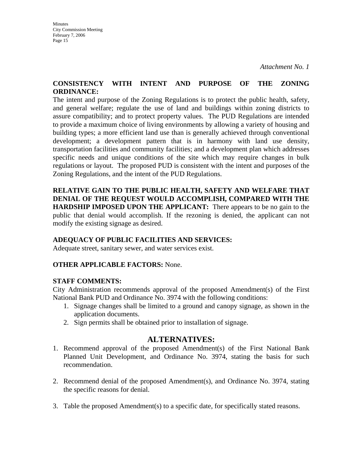*Attachment No. 1* 

#### **CONSISTENCY WITH INTENT AND PURPOSE OF THE ZONING ORDINANCE:**

The intent and purpose of the Zoning Regulations is to protect the public health, safety, and general welfare; regulate the use of land and buildings within zoning districts to assure compatibility; and to protect property values. The PUD Regulations are intended to provide a maximum choice of living environments by allowing a variety of housing and building types; a more efficient land use than is generally achieved through conventional development; a development pattern that is in harmony with land use density, transportation facilities and community facilities; and a development plan which addresses specific needs and unique conditions of the site which may require changes in bulk regulations or layout. The proposed PUD is consistent with the intent and purposes of the Zoning Regulations, and the intent of the PUD Regulations.

**RELATIVE GAIN TO THE PUBLIC HEALTH, SAFETY AND WELFARE THAT DENIAL OF THE REQUEST WOULD ACCOMPLISH, COMPARED WITH THE HARDSHIP IMPOSED UPON THE APPLICANT:** There appears to be no gain to the public that denial would accomplish. If the rezoning is denied, the applicant can not modify the existing signage as desired.

### **ADEQUACY OF PUBLIC FACILITIES AND SERVICES:**

Adequate street, sanitary sewer, and water services exist.

#### **OTHER APPLICABLE FACTORS:** None.

#### **STAFF COMMENTS:**

City Administration recommends approval of the proposed Amendment(s) of the First National Bank PUD and Ordinance No. 3974 with the following conditions:

- 1. Signage changes shall be limited to a ground and canopy signage, as shown in the application documents.
- 2. Sign permits shall be obtained prior to installation of signage.

### **ALTERNATIVES:**

- 1. Recommend approval of the proposed Amendment(s) of the First National Bank Planned Unit Development, and Ordinance No. 3974, stating the basis for such recommendation.
- 2. Recommend denial of the proposed Amendment(s), and Ordinance No. 3974, stating the specific reasons for denial.
- 3. Table the proposed Amendment(s) to a specific date, for specifically stated reasons.